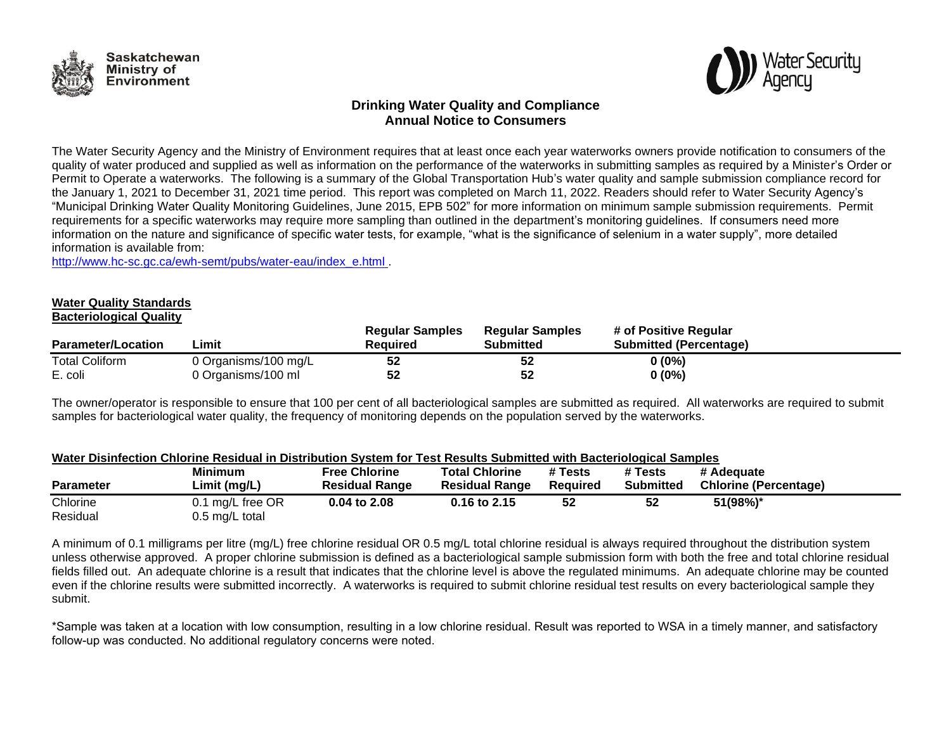



# **Drinking Water Quality and Compliance Annual Notice to Consumers**

The Water Security Agency and the Ministry of Environment requires that at least once each year waterworks owners provide notification to consumers of the quality of water produced and supplied as well as information on the performance of the waterworks in submitting samples as required by a Minister's Order or Permit to Operate a waterworks. The following is a summary of the Global Transportation Hub's water quality and sample submission compliance record for the January 1, 2021 to December 31, 2021 time period. This report was completed on March 11, 2022. Readers should refer to Water Security Agency's "Municipal Drinking Water Quality Monitoring Guidelines, June 2015, EPB 502" for more information on minimum sample submission requirements. Permit requirements for a specific waterworks may require more sampling than outlined in the department's monitoring guidelines. If consumers need more information on the nature and significance of specific water tests, for example, "what is the significance of selenium in a water supply", more detailed information is available from:

[http://www.hc-sc.gc.ca/ewh-semt/pubs/water-eau/index\\_e.html](http://www.hc-sc.gc.ca/ewh-semt/pubs/water-eau/index_e.html) .

#### **Water Quality Standards Bacteriological Quality**

| <b>Parameter/Location</b> | .imit                | <b>Regular Samples</b><br>Reauired | <b>Regular Samples</b><br>Submitted | # of Positive Regular<br><b>Submitted (Percentage)</b> |  |
|---------------------------|----------------------|------------------------------------|-------------------------------------|--------------------------------------------------------|--|
| <b>Total Coliform</b>     | 0 Organisms/100 mg/L | 52                                 | 52                                  | $0(0\%)$                                               |  |
| E. coli                   | 0 Organisms/100 ml   | 52                                 | 52                                  | $0(0\%)$                                               |  |

The owner/operator is responsible to ensure that 100 per cent of all bacteriological samples are submitted as required. All waterworks are required to submit samples for bacteriological water quality, the frequency of monitoring depends on the population served by the waterworks.

### **Water Disinfection Chlorine Residual in Distribution System for Test Results Submitted with Bacteriological Samples**

| <b>Parameter</b> | <b>Minimum</b><br>Limit (mg/L) | <b>Free Chlorine</b><br><b>Residual Range</b> | <b>Total Chlorine</b><br><b>Residual Range</b> | # Tests<br>Reauired | # Tests<br><b>Submitted</b> | # Adequate<br><b>Chlorine (Percentage)</b> |
|------------------|--------------------------------|-----------------------------------------------|------------------------------------------------|---------------------|-----------------------------|--------------------------------------------|
| Chlorine         | 0.1 mg/L free OR               | 0.04 to 2.08                                  | 0.16 to 2.15                                   | 52                  |                             | 51(98%)*                                   |
| Residual         | 0.5 mg/L total                 |                                               |                                                |                     |                             |                                            |

A minimum of 0.1 milligrams per litre (mg/L) free chlorine residual OR 0.5 mg/L total chlorine residual is always required throughout the distribution system unless otherwise approved. A proper chlorine submission is defined as a bacteriological sample submission form with both the free and total chlorine residual fields filled out. An adequate chlorine is a result that indicates that the chlorine level is above the regulated minimums. An adequate chlorine may be counted even if the chlorine results were submitted incorrectly. A waterworks is required to submit chlorine residual test results on every bacteriological sample they submit.

\*Sample was taken at a location with low consumption, resulting in a low chlorine residual. Result was reported to WSA in a timely manner, and satisfactory follow-up was conducted. No additional regulatory concerns were noted.